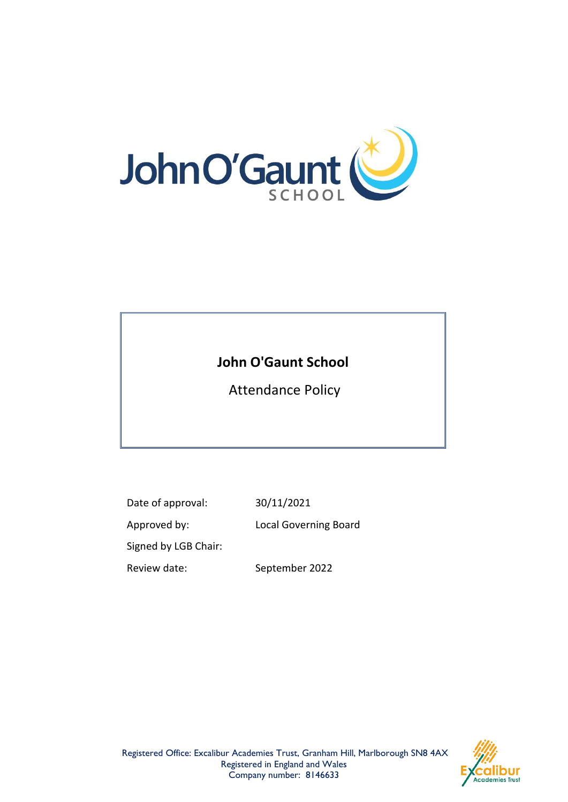

# **John O'Gaunt School**

Attendance Policy

Date of approval: 30/11/2021

Approved by: Local Governing Board

Signed by LGB Chair:

Review date: September 2022

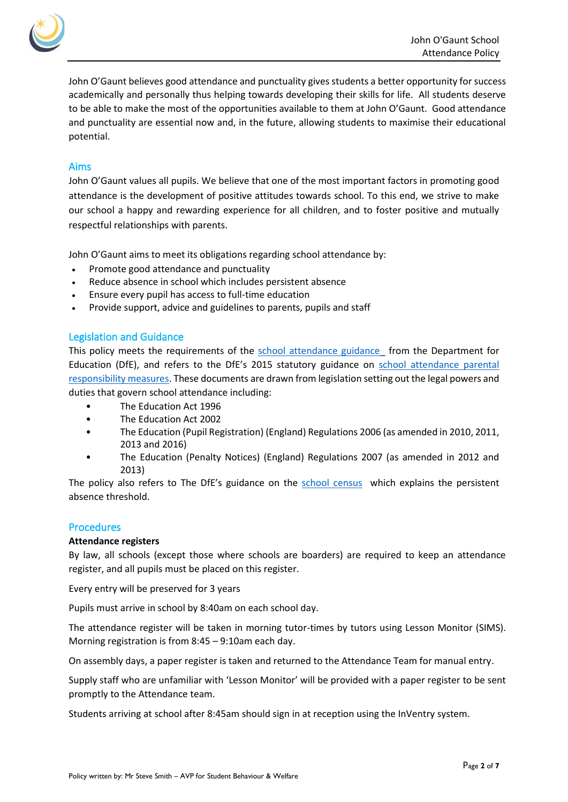

John O'Gaunt believes good attendance and punctuality gives students a better opportunity for success academically and personally thus helping towards developing their skills for life. All students deserve to be able to make the most of the opportunities available to them at John O'Gaunt. Good attendance and punctuality are essential now and, in the future, allowing students to maximise their educational potential.

# Aims

John O'Gaunt values all pupils. We believe that one of the most important factors in promoting good attendance is the development of positive attitudes towards school. To this end, we strive to make our school a happy and rewarding experience for all children, and to foster positive and mutually respectful relationships with parents.

John O'Gaunt aims to meet its obligations regarding school attendance by:

- Promote good attendance and punctuality
- Reduce absence in school which includes persistent absence
- Ensure every pupil has access to full-time education
- Provide support, advice and guidelines to parents, pupils and staff

## Legislation and Guidance

This policy meets the requirements of the school attendance guidance from the Department for Education (DfE), and refers to the DfE's 2015 statutory guidance on school attendance parental [responsibility measures.](https://www.gov.uk/government/publications/parental-responsibility-measures-for-behaviour-and-attendance) These documents are drawn from legislation setting out the legal powers and duties that govern school attendance including:

- The Education Act 1996
- The Education Act 2002
- The Education (Pupil Registration) (England) Regulations 2006 (as amended in 2010, 2011, 2013 and 2016)
- The Education (Penalty Notices) (England) Regulations 2007 (as amended in 2012 and 2013)

The policy also refers to The DfE's guidance on the [school census](https://www.gov.uk/government/publications/school-census-2017-to-2018-guide-for-schools-and-las) which explains the persistent absence threshold.

# **Procedures**

## **Attendance registers**

By law, all schools (except those where schools are boarders) are required to keep an attendance register, and all pupils must be placed on this register.

Every entry will be preserved for 3 years

Pupils must arrive in school by 8:40am on each school day.

The attendance register will be taken in morning tutor-times by tutors using Lesson Monitor (SIMS). Morning registration is from 8:45 – 9:10am each day.

On assembly days, a paper register is taken and returned to the Attendance Team for manual entry.

Supply staff who are unfamiliar with 'Lesson Monitor' will be provided with a paper register to be sent promptly to the Attendance team.

Students arriving at school after 8:45am should sign in at reception using the InVentry system.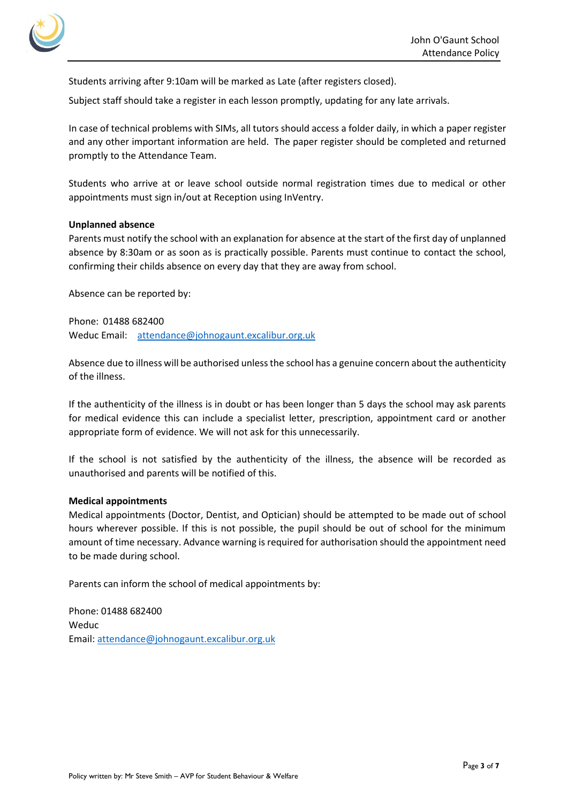

Students arriving after 9:10am will be marked as Late (after registers closed).

Subject staff should take a register in each lesson promptly, updating for any late arrivals.

In case of technical problems with SIMs, all tutors should access a folder daily, in which a paper register and any other important information are held. The paper register should be completed and returned promptly to the Attendance Team.

Students who arrive at or leave school outside normal registration times due to medical or other appointments must sign in/out at Reception using InVentry.

#### **Unplanned absence**

Parents must notify the school with an explanation for absence at the start of the first day of unplanned absence by 8:30am or as soon as is practically possible. Parents must continue to contact the school, confirming their childs absence on every day that they are away from school.

Absence can be reported by:

Phone: 01488 682400 Weduc Email: [attendance@johnogaunt.excalibur.org.uk](mailto:attendance@johnogaunt.excalibur.org.uk)

Absence due to illness will be authorised unless the school has a genuine concern about the authenticity of the illness.

If the authenticity of the illness is in doubt or has been longer than 5 days the school may ask parents for medical evidence this can include a specialist letter, prescription, appointment card or another appropriate form of evidence. We will not ask for this unnecessarily.

If the school is not satisfied by the authenticity of the illness, the absence will be recorded as unauthorised and parents will be notified of this.

#### **Medical appointments**

Medical appointments (Doctor, Dentist, and Optician) should be attempted to be made out of school hours wherever possible. If this is not possible, the pupil should be out of school for the minimum amount of time necessary. Advance warning is required for authorisation should the appointment need to be made during school.

Parents can inform the school of medical appointments by:

Phone: 01488 682400 Weduc Email: [attendance@johnogaunt.excalibur.org.uk](https://assets.publishing.service.gov.uk/government/uploads/system/uploads/attachment_data/file/907535/School_attendance_guidance_for_2020_to_2021_academic_year.pdf)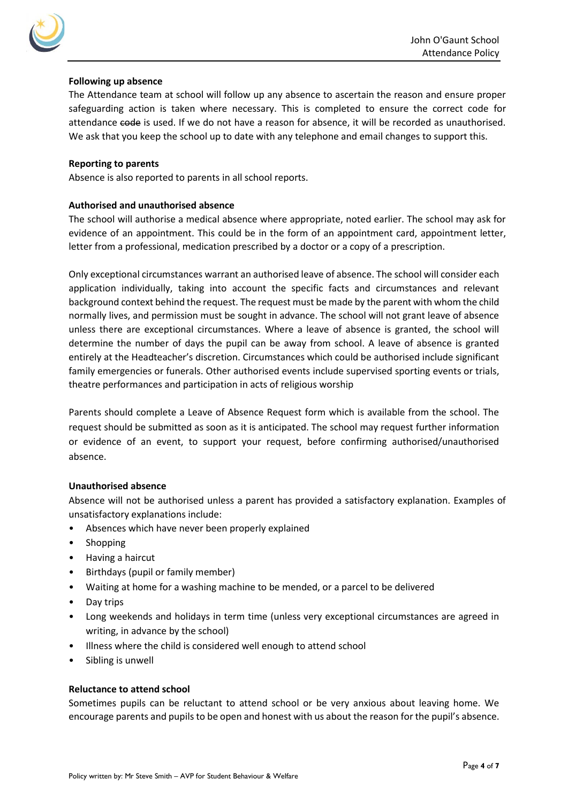

## **Following up absence**

The Attendance team at school will follow up any absence to ascertain the reason and ensure proper safeguarding action is taken where necessary. This is completed to ensure the correct code for attendance code is used. If we do not have a reason for absence, it will be recorded as unauthorised. We ask that you keep the school up to date with any telephone and email changes to support this.

#### **Reporting to parents**

Absence is also reported to parents in all school reports.

## **Authorised and unauthorised absence**

The school will authorise a medical absence where appropriate, noted earlier. The school may ask for evidence of an appointment. This could be in the form of an appointment card, appointment letter, letter from a professional, medication prescribed by a doctor or a copy of a prescription.

Only exceptional circumstances warrant an authorised leave of absence. The school will consider each application individually, taking into account the specific facts and circumstances and relevant background context behind the request. The request must be made by the parent with whom the child normally lives, and permission must be sought in advance. The school will not grant leave of absence unless there are exceptional circumstances. Where a leave of absence is granted, the school will determine the number of days the pupil can be away from school. A leave of absence is granted entirely at the Headteacher's discretion. Circumstances which could be authorised include significant family emergencies or funerals. Other authorised events include supervised sporting events or trials, theatre performances and participation in acts of religious worship

Parents should complete a Leave of Absence Request form which is available from the school. The request should be submitted as soon as it is anticipated. The school may request further information or evidence of an event, to support your request, before confirming authorised/unauthorised absence.

## **Unauthorised absence**

Absence will not be authorised unless a parent has provided a satisfactory explanation. Examples of unsatisfactory explanations include:

- Absences which have never been properly explained
- Shopping
- Having a haircut
- Birthdays (pupil or family member)
- Waiting at home for a washing machine to be mended, or a parcel to be delivered
- Day trips
- Long weekends and holidays in term time (unless very exceptional circumstances are agreed in writing, in advance by the school)
- Illness where the child is considered well enough to attend school
- Sibling is unwell

## **Reluctance to attend school**

Sometimes pupils can be reluctant to attend school or be very anxious about leaving home. We encourage parents and pupils to be open and honest with us about the reason for the pupil's absence.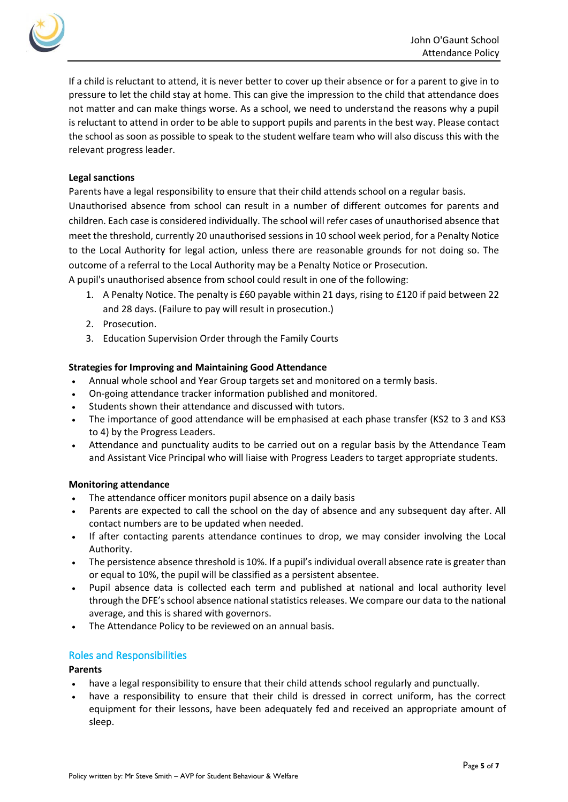

If a child is reluctant to attend, it is never better to cover up their absence or for a parent to give in to pressure to let the child stay at home. This can give the impression to the child that attendance does not matter and can make things worse. As a school, we need to understand the reasons why a pupil is reluctant to attend in order to be able to support pupils and parents in the best way. Please contact the school as soon as possible to speak to the student welfare team who will also discuss this with the relevant progress leader.

#### **Legal sanctions**

Parents have a legal responsibility to ensure that their child attends school on a regular basis. Unauthorised absence from school can result in a number of different outcomes for parents and children. Each case is considered individually. The school will refer cases of unauthorised absence that meet the threshold, currently 20 unauthorised sessions in 10 school week period, for a Penalty Notice to the Local Authority for legal action, unless there are reasonable grounds for not doing so. The outcome of a referral to the Local Authority may be a Penalty Notice or Prosecution.

A pupil's unauthorised absence from school could result in one of the following:

- 1. A Penalty Notice. The penalty is £60 payable within 21 days, rising to £120 if paid between 22 and 28 days. (Failure to pay will result in prosecution.)
- 2. Prosecution.
- 3. Education Supervision Order through the Family Courts

## **Strategies for Improving and Maintaining Good Attendance**

- Annual whole school and Year Group targets set and monitored on a termly basis.
- On-going attendance tracker information published and monitored.
- Students shown their attendance and discussed with tutors.
- The importance of good attendance will be emphasised at each phase transfer (KS2 to 3 and KS3 to 4) by the Progress Leaders.
- Attendance and punctuality audits to be carried out on a regular basis by the Attendance Team and Assistant Vice Principal who will liaise with Progress Leaders to target appropriate students.

## **Monitoring attendance**

- The attendance officer monitors pupil absence on a daily basis
- Parents are expected to call the school on the day of absence and any subsequent day after. All contact numbers are to be updated when needed.
- If after contacting parents attendance continues to drop, we may consider involving the Local Authority.
- The persistence absence threshold is 10%. If a pupil's individual overall absence rate is greater than or equal to 10%, the pupil will be classified as a persistent absentee.
- Pupil absence data is collected each term and published at national and local authority level through the DFE's school absence national statistics releases. We compare our data to the national average, and this is shared with governors.
- The Attendance Policy to be reviewed on an annual basis.

## Roles and Responsibilities

## **Parents**

- have a legal responsibility to ensure that their child attends school regularly and punctually.
- have a responsibility to ensure that their child is dressed in correct uniform, has the correct equipment for their lessons, have been adequately fed and received an appropriate amount of sleep.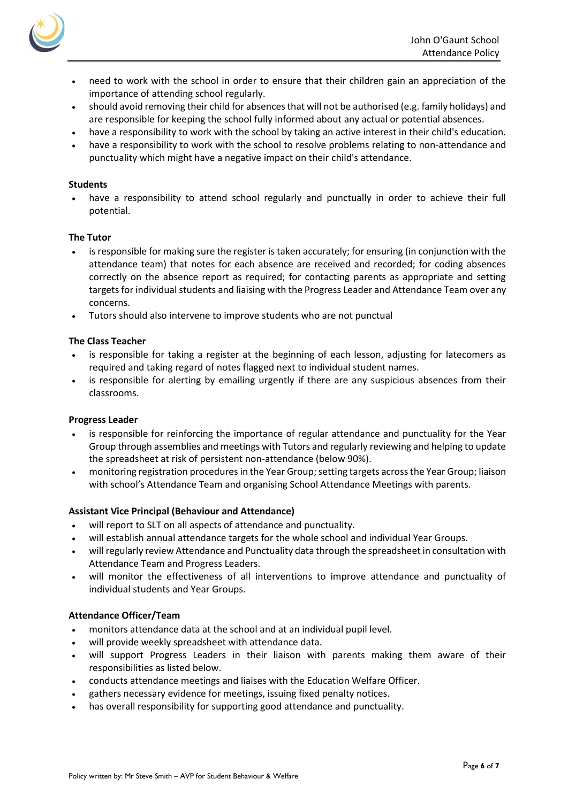

- need to work with the school in order to ensure that their children gain an appreciation of the importance of attending school regularly.
- should avoid removing their child for absences that will not be authorised (e.g. family holidays) and are responsible for keeping the school fully informed about any actual or potential absences.
- have a responsibility to work with the school by taking an active interest in their child's education.
- have a responsibility to work with the school to resolve problems relating to non-attendance and punctuality which might have a negative impact on their child's attendance.

#### **Students**

have a responsibility to attend school regularly and punctually in order to achieve their full potential.

#### **The Tutor**

- is responsible for making sure the register is taken accurately; for ensuring (in conjunction with the attendance team) that notes for each absence are received and recorded; for coding absences correctly on the absence report as required; for contacting parents as appropriate and setting targets for individual students and liaising with the Progress Leader and Attendance Team over any concerns.
- Tutors should also intervene to improve students who are not punctual

#### **The Class Teacher**

- is responsible for taking a register at the beginning of each lesson, adjusting for latecomers as required and taking regard of notes flagged next to individual student names.
- is responsible for alerting by emailing urgently if there are any suspicious absences from their classrooms.

#### **Progress Leader**

- is responsible for reinforcing the importance of regular attendance and punctuality for the Year Group through assemblies and meetings with Tutors and regularly reviewing and helping to update the spreadsheet at risk of persistent non-attendance (below 90%).
- monitoring registration procedures in the Year Group; setting targets across the Year Group; liaison with school's Attendance Team and organising School Attendance Meetings with parents.

#### **Assistant Vice Principal (Behaviour and Attendance)**

- will report to SLT on all aspects of attendance and punctuality.
- will establish annual attendance targets for the whole school and individual Year Groups.
- will regularly review Attendance and Punctuality data through the spreadsheet in consultation with Attendance Team and Progress Leaders.
- will monitor the effectiveness of all interventions to improve attendance and punctuality of individual students and Year Groups.

#### **Attendance Officer/Team**

- monitors attendance data at the school and at an individual pupil level.
- will provide weekly spreadsheet with attendance data.
- will support Progress Leaders in their liaison with parents making them aware of their responsibilities as listed below.
- conducts attendance meetings and liaises with the Education Welfare Officer.
- gathers necessary evidence for meetings, issuing fixed penalty notices.
- has overall responsibility for supporting good attendance and punctuality.